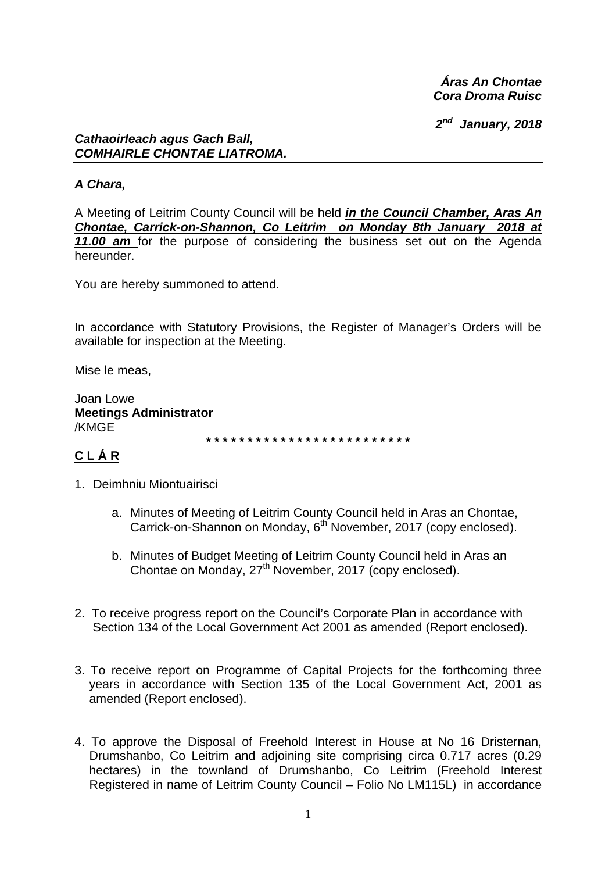*Áras An Chontae Cora Droma Ruisc* 

*2nd January, 2018* 

#### *Cathaoirleach agus Gach Ball, COMHAIRLE CHONTAE LIATROMA.*

#### *A Chara,*

A Meeting of Leitrim County Council will be held *in the Council Chamber, Aras An Chontae, Carrick-on-Shannon, Co Leitrim on Monday 8th January 2018 at 11.00 am* for the purpose of considering the business set out on the Agenda hereunder.

You are hereby summoned to attend.

In accordance with Statutory Provisions, the Register of Manager's Orders will be available for inspection at the Meeting.

Mise le meas,

Joan Lowe **Meetings Administrator**  /KMGE

**\* \* \* \* \* \* \* \* \* \* \* \* \* \* \* \* \* \* \* \* \* \* \* \* \*** 

# **C L Á R**

- 1. Deimhniu Miontuairisci
	- a. Minutes of Meeting of Leitrim County Council held in Aras an Chontae, Carrick-on-Shannon on Monday, 6<sup>th</sup> November, 2017 (copy enclosed).
	- b. Minutes of Budget Meeting of Leitrim County Council held in Aras an Chontae on Monday,  $27<sup>th</sup>$  November, 2017 (copy enclosed).
- 2. To receive progress report on the Council's Corporate Plan in accordance with Section 134 of the Local Government Act 2001 as amended (Report enclosed).
- 3. To receive report on Programme of Capital Projects for the forthcoming three years in accordance with Section 135 of the Local Government Act, 2001 as amended (Report enclosed).
- 4. To approve the Disposal of Freehold Interest in House at No 16 Dristernan, Drumshanbo, Co Leitrim and adjoining site comprising circa 0.717 acres (0.29 hectares) in the townland of Drumshanbo, Co Leitrim (Freehold Interest Registered in name of Leitrim County Council – Folio No LM115L) in accordance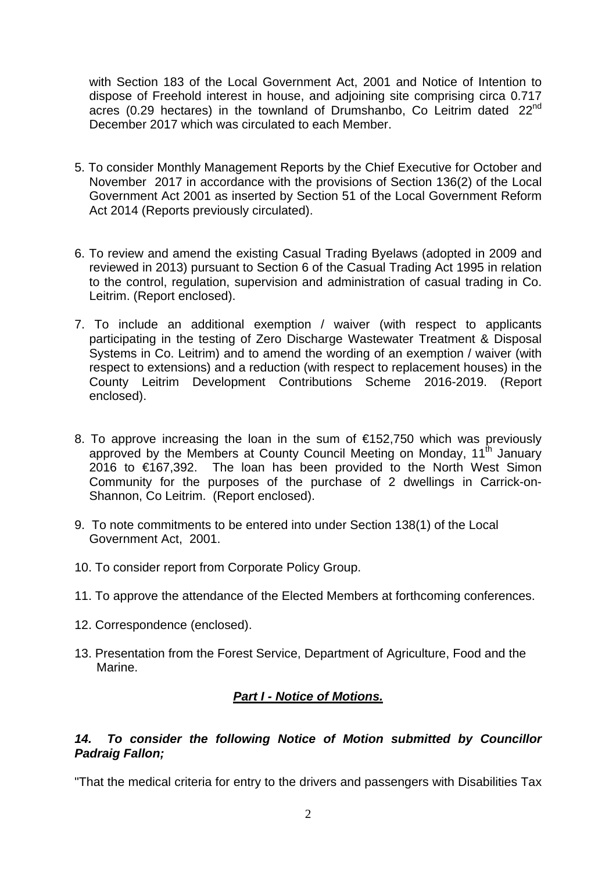with Section 183 of the Local Government Act, 2001 and Notice of Intention to dispose of Freehold interest in house, and adjoining site comprising circa 0.717 acres (0.29 hectares) in the townland of Drumshanbo, Co Leitrim dated 22<sup>nd</sup> December 2017 which was circulated to each Member.

- 5. To consider Monthly Management Reports by the Chief Executive for October and November 2017 in accordance with the provisions of Section 136(2) of the Local Government Act 2001 as inserted by Section 51 of the Local Government Reform Act 2014 (Reports previously circulated).
- 6. To review and amend the existing Casual Trading Byelaws (adopted in 2009 and reviewed in 2013) pursuant to Section 6 of the Casual Trading Act 1995 in relation to the control, regulation, supervision and administration of casual trading in Co. Leitrim. (Report enclosed).
- 7. To include an additional exemption / waiver (with respect to applicants participating in the testing of Zero Discharge Wastewater Treatment & Disposal Systems in Co. Leitrim) and to amend the wording of an exemption / waiver (with respect to extensions) and a reduction (with respect to replacement houses) in the County Leitrim Development Contributions Scheme 2016-2019. (Report enclosed).
- 8. To approve increasing the loan in the sum of €152,750 which was previously approved by the Members at County Council Meeting on Monday,  $11<sup>th</sup>$  January 2016 to €167,392. The loan has been provided to the North West Simon Community for the purposes of the purchase of 2 dwellings in Carrick-on-Shannon, Co Leitrim. (Report enclosed).
- 9. To note commitments to be entered into under Section 138(1) of the Local Government Act, 2001.
- 10. To consider report from Corporate Policy Group.
- 11. To approve the attendance of the Elected Members at forthcoming conferences.
- 12. Correspondence (enclosed).
- 13. Presentation from the Forest Service, Department of Agriculture, Food and the Marine.

# *Part I - Notice of Motions.*

#### *14. To consider the following Notice of Motion submitted by Councillor Padraig Fallon;*

"That the medical criteria for entry to the drivers and passengers with Disabilities Tax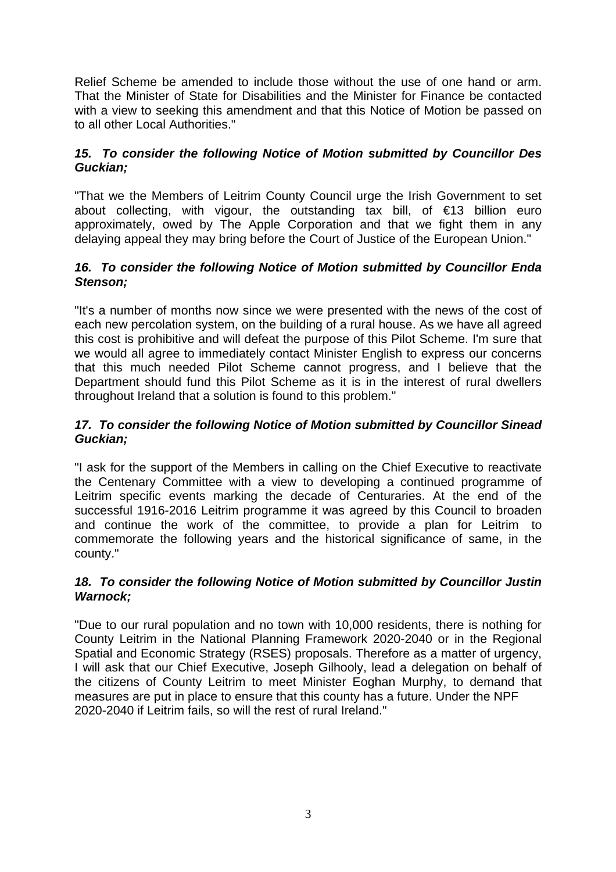Relief Scheme be amended to include those without the use of one hand or arm. That the Minister of State for Disabilities and the Minister for Finance be contacted with a view to seeking this amendment and that this Notice of Motion be passed on to all other Local Authorities."

## *15. To consider the following Notice of Motion submitted by Councillor Des Guckian;*

"That we the Members of Leitrim County Council urge the Irish Government to set about collecting, with vigour, the outstanding tax bill, of  $\epsilon$ 13 billion euro approximately, owed by The Apple Corporation and that we fight them in any delaying appeal they may bring before the Court of Justice of the European Union."

#### *16. To consider the following Notice of Motion submitted by Councillor Enda Stenson;*

"It's a number of months now since we were presented with the news of the cost of each new percolation system, on the building of a rural house. As we have all agreed this cost is prohibitive and will defeat the purpose of this Pilot Scheme. I'm sure that we would all agree to immediately contact Minister English to express our concerns that this much needed Pilot Scheme cannot progress, and I believe that the Department should fund this Pilot Scheme as it is in the interest of rural dwellers throughout Ireland that a solution is found to this problem."

## *17. To consider the following Notice of Motion submitted by Councillor Sinead Guckian;*

"I ask for the support of the Members in calling on the Chief Executive to reactivate the Centenary Committee with a view to developing a continued programme of Leitrim specific events marking the decade of Centuraries. At the end of the successful 1916-2016 Leitrim programme it was agreed by this Council to broaden and continue the work of the committee, to provide a plan for Leitrim to commemorate the following years and the historical significance of same, in the county."

#### *18. To consider the following Notice of Motion submitted by Councillor Justin Warnock;*

"Due to our rural population and no town with 10,000 residents, there is nothing for County Leitrim in the National Planning Framework 2020-2040 or in the Regional Spatial and Economic Strategy (RSES) proposals. Therefore as a matter of urgency, I will ask that our Chief Executive, Joseph Gilhooly, lead a delegation on behalf of the citizens of County Leitrim to meet Minister Eoghan Murphy, to demand that measures are put in place to ensure that this county has a future. Under the NPF 2020-2040 if Leitrim fails, so will the rest of rural Ireland."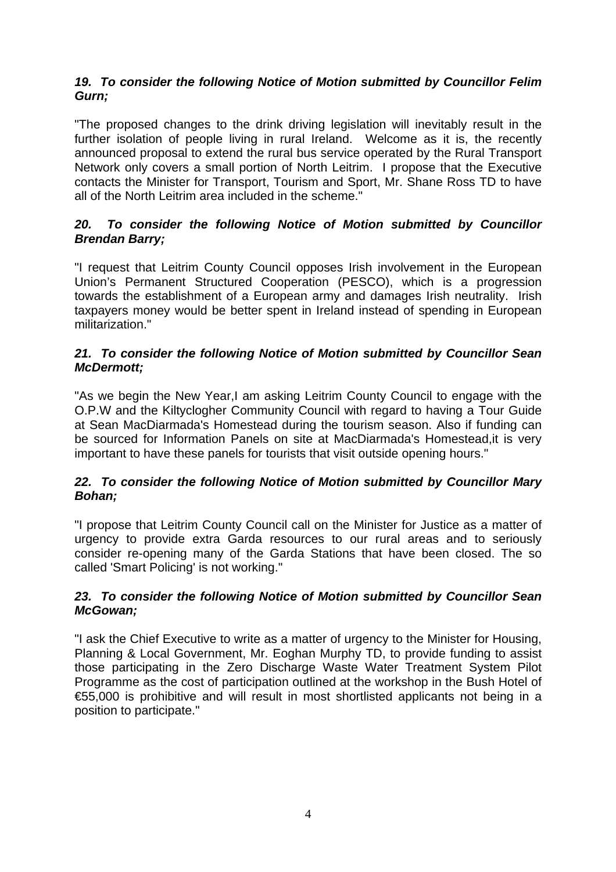## *19. To consider the following Notice of Motion submitted by Councillor Felim Gurn;*

"The proposed changes to the drink driving legislation will inevitably result in the further isolation of people living in rural Ireland. Welcome as it is, the recently announced proposal to extend the rural bus service operated by the Rural Transport Network only covers a small portion of North Leitrim. I propose that the Executive contacts the Minister for Transport, Tourism and Sport, Mr. Shane Ross TD to have all of the North Leitrim area included in the scheme."

## *20. To consider the following Notice of Motion submitted by Councillor Brendan Barry;*

"I request that Leitrim County Council opposes Irish involvement in the European Union's Permanent Structured Cooperation (PESCO), which is a progression towards the establishment of a European army and damages Irish neutrality. Irish taxpayers money would be better spent in Ireland instead of spending in European militarization."

#### *21. To consider the following Notice of Motion submitted by Councillor Sean McDermott;*

"As we begin the New Year,I am asking Leitrim County Council to engage with the O.P.W and the Kiltyclogher Community Council with regard to having a Tour Guide at Sean MacDiarmada's Homestead during the tourism season. Also if funding can be sourced for Information Panels on site at MacDiarmada's Homestead,it is very important to have these panels for tourists that visit outside opening hours."

## *22. To consider the following Notice of Motion submitted by Councillor Mary Bohan;*

"I propose that Leitrim County Council call on the Minister for Justice as a matter of urgency to provide extra Garda resources to our rural areas and to seriously consider re-opening many of the Garda Stations that have been closed. The so called 'Smart Policing' is not working."

## *23. To consider the following Notice of Motion submitted by Councillor Sean McGowan;*

"I ask the Chief Executive to write as a matter of urgency to the Minister for Housing, Planning & Local Government, Mr. Eoghan Murphy TD, to provide funding to assist those participating in the Zero Discharge Waste Water Treatment System Pilot Programme as the cost of participation outlined at the workshop in the Bush Hotel of €55,000 is prohibitive and will result in most shortlisted applicants not being in a position to participate."